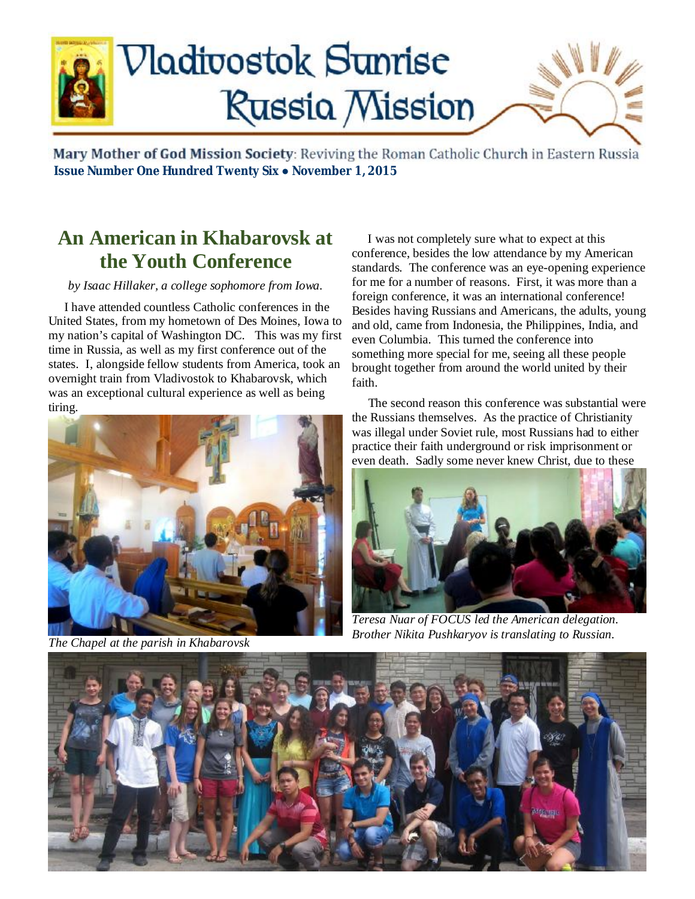

Mary Mother of God Mission Society: Reviving the Roman Catholic Church in Eastern Russia  **Issue Number One Hundred Twenty Six ● November 1, 2015**

## **An American in Khabarovsk at the Youth Conference**

#### *by Isaac Hillaker, a college sophomore from Iowa.*

 I have attended countless Catholic conferences in the United States, from my hometown of Des Moines, Iowa to my nation's capital of Washington DC. This was my first time in Russia, as well as my first conference out of the states. I, alongside fellow students from America, took an overnight train from Vladivostok to Khabarovsk, which was an exceptional cultural experience as well as being tiring.



*The Chapel at the parish in Khabarovsk*

 I was not completely sure what to expect at this conference, besides the low attendance by my American standards. The conference was an eye-opening experience for me for a number of reasons. First, it was more than a foreign conference, it was an international conference! Besides having Russians and Americans, the adults, young and old, came from Indonesia, the Philippines, India, and even Columbia. This turned the conference into something more special for me, seeing all these people brought together from around the world united by their faith.

 The second reason this conference was substantial were the Russians themselves. As the practice of Christianity was illegal under Soviet rule, most Russians had to either practice their faith underground or risk imprisonment or even death. Sadly some never knew Christ, due to these



*Teresa Nuar of FOCUS led the American delegation. Brother Nikita Pushkaryov is translating to Russian.* 

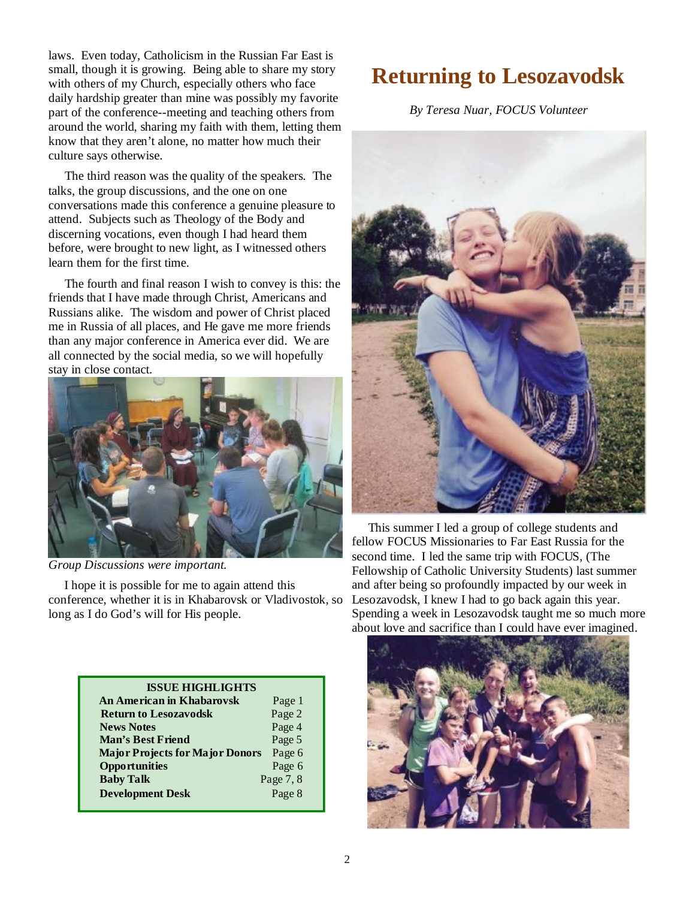laws. Even today, Catholicism in the Russian Far East is small, though it is growing. Being able to share my story with others of my Church, especially others who face daily hardship greater than mine was possibly my favorite part of the conference--meeting and teaching others from around the world, sharing my faith with them, letting them know that they aren't alone, no matter how much their culture says otherwise.

 The third reason was the quality of the speakers. The talks, the group discussions, and the one on one conversations made this conference a genuine pleasure to attend. Subjects such as Theology of the Body and discerning vocations, even though I had heard them before, were brought to new light, as I witnessed others learn them for the first time.

 The fourth and final reason I wish to convey is this: the friends that I have made through Christ, Americans and Russians alike. The wisdom and power of Christ placed me in Russia of all places, and He gave me more friends than any major conference in America ever did. We are all connected by the social media, so we will hopefully stay in close contact.



*Group Discussions were important.* 

 I hope it is possible for me to again attend this conference, whether it is in Khabarovsk or Vladivostok, so long as I do God's will for His people.

| Page 1    |
|-----------|
| Page 2    |
| Page 4    |
| Page 5    |
| Page 6    |
| Page 6    |
| Page 7, 8 |
| Page 8    |
|           |

# **Returning to Lesozavodsk**

*By Teresa Nuar, FOCUS Volunteer* 



 This summer I led a group of college students and fellow FOCUS Missionaries to Far East Russia for the second time. I led the same trip with FOCUS, (The Fellowship of Catholic University Students) last summer and after being so profoundly impacted by our week in Lesozavodsk, I knew I had to go back again this year. Spending a week in Lesozavodsk taught me so much more about love and sacrifice than I could have ever imagined.

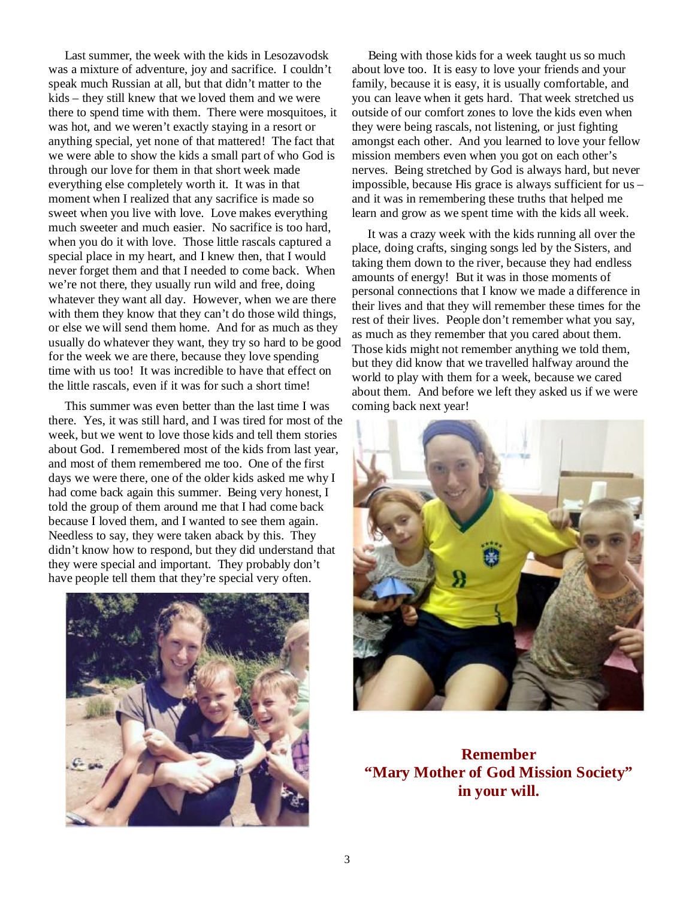Last summer, the week with the kids in Lesozavodsk was a mixture of adventure, joy and sacrifice. I couldn't speak much Russian at all, but that didn't matter to the kids – they still knew that we loved them and we were there to spend time with them. There were mosquitoes, it was hot, and we weren't exactly staying in a resort or anything special, yet none of that mattered! The fact that we were able to show the kids a small part of who God is through our love for them in that short week made everything else completely worth it. It was in that moment when I realized that any sacrifice is made so sweet when you live with love. Love makes everything much sweeter and much easier. No sacrifice is too hard, when you do it with love. Those little rascals captured a special place in my heart, and I knew then, that I would never forget them and that I needed to come back. When we're not there, they usually run wild and free, doing whatever they want all day. However, when we are there with them they know that they can't do those wild things, or else we will send them home. And for as much as they usually do whatever they want, they try so hard to be good for the week we are there, because they love spending time with us too! It was incredible to have that effect on the little rascals, even if it was for such a short time!

 This summer was even better than the last time I was there. Yes, it was still hard, and I was tired for most of the week, but we went to love those kids and tell them stories about God. I remembered most of the kids from last year, and most of them remembered me too. One of the first days we were there, one of the older kids asked me why I had come back again this summer. Being very honest, I told the group of them around me that I had come back because I loved them, and I wanted to see them again. Needless to say, they were taken aback by this. They didn't know how to respond, but they did understand that they were special and important. They probably don't have people tell them that they're special very often.



 Being with those kids for a week taught us so much about love too. It is easy to love your friends and your family, because it is easy, it is usually comfortable, and you can leave when it gets hard. That week stretched us outside of our comfort zones to love the kids even when they were being rascals, not listening, or just fighting amongst each other. And you learned to love your fellow mission members even when you got on each other's nerves. Being stretched by God is always hard, but never impossible, because His grace is always sufficient for us – and it was in remembering these truths that helped me learn and grow as we spent time with the kids all week.

 It was a crazy week with the kids running all over the place, doing crafts, singing songs led by the Sisters, and taking them down to the river, because they had endless amounts of energy! But it was in those moments of personal connections that I know we made a difference in their lives and that they will remember these times for the rest of their lives. People don't remember what you say, as much as they remember that you cared about them. Those kids might not remember anything we told them, but they did know that we travelled halfway around the world to play with them for a week, because we cared about them. And before we left they asked us if we were coming back next year!



**Remember "Mary Mother of God Mission Society" in your will.**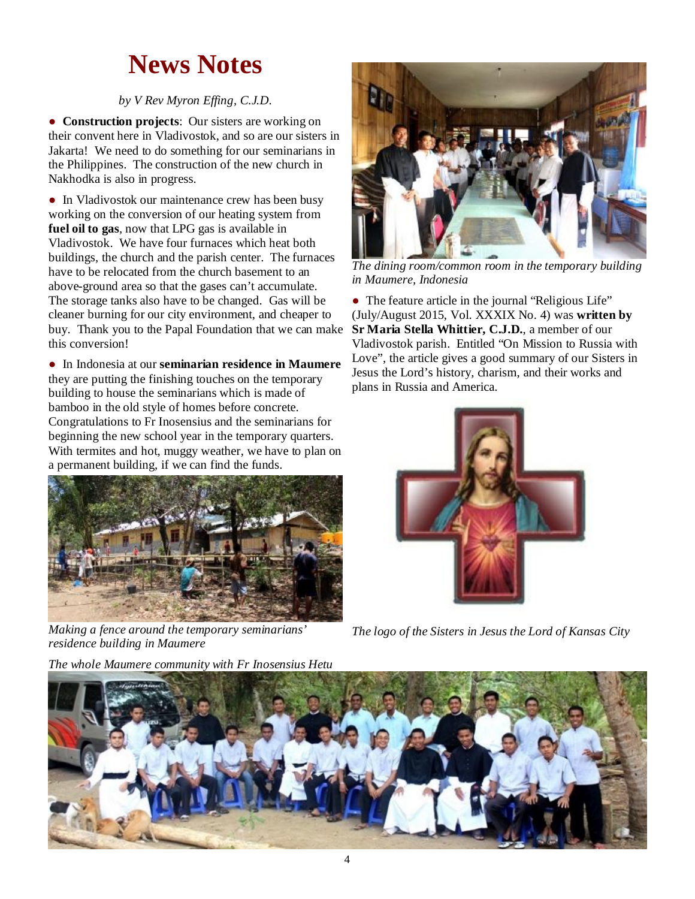# **News Notes**

### *by V Rev Myron Effing, C.J.D.*

● **Construction projects**: Our sisters are working on their convent here in Vladivostok, and so are our sisters in Jakarta! We need to do something for our seminarians in the Philippines. The construction of the new church in Nakhodka is also in progress.

• In Vladivostok our maintenance crew has been busy working on the conversion of our heating system from **fuel oil to gas**, now that LPG gas is available in Vladivostok. We have four furnaces which heat both buildings, the church and the parish center. The furnaces have to be relocated from the church basement to an above-ground area so that the gases can't accumulate. The storage tanks also have to be changed. Gas will be cleaner burning for our city environment, and cheaper to buy. Thank you to the Papal Foundation that we can make this conversion!

● In Indonesia at our **seminarian residence in Maumere** they are putting the finishing touches on the temporary building to house the seminarians which is made of bamboo in the old style of homes before concrete. Congratulations to Fr Inosensius and the seminarians for beginning the new school year in the temporary quarters. With termites and hot, muggy weather, we have to plan on a permanent building, if we can find the funds.



*Making a fence around the temporary seminarians' residence building in Maumere*

*The whole Maumere community with Fr Inosensius Hetu* 



*The dining room/common room in the temporary building in Maumere, Indonesia* 

• The feature article in the journal "Religious Life" (July/August 2015, Vol. XXXIX No. 4) was **written by Sr Maria Stella Whittier, C.J.D.**, a member of our Vladivostok parish. Entitled "On Mission to Russia with Love", the article gives a good summary of our Sisters in Jesus the Lord's history, charism, and their works and plans in Russia and America.



*The logo of the Sisters in Jesus the Lord of Kansas City* 

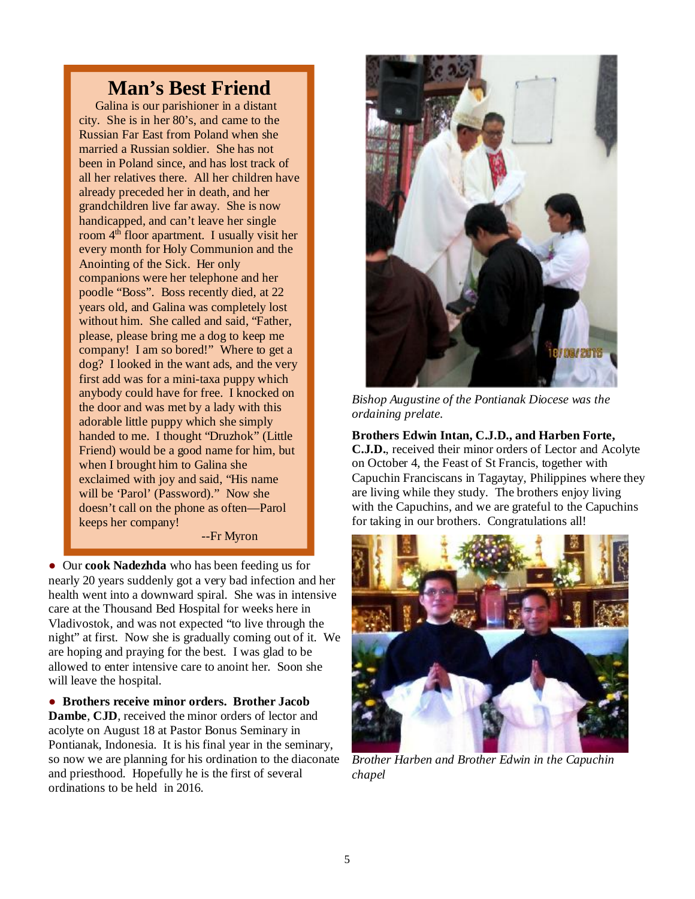### **Man's Best Friend**

 Galina is our parishioner in a distant city. She is in her 80's, and came to the Russian Far East from Poland when she married a Russian soldier. She has not been in Poland since, and has lost track of all her relatives there. All her children have already preceded her in death, and her grandchildren live far away. She is now handicapped, and can't leave her single room 4<sup>th</sup> floor apartment. I usually visit her every month for Holy Communion and the Anointing of the Sick. Her only companions were her telephone and her poodle "Boss". Boss recently died, at 22 years old, and Galina was completely lost without him. She called and said, "Father, please, please bring me a dog to keep me company! I am so bored!" Where to get a dog? I looked in the want ads, and the very first add was for a mini-taxa puppy which anybody could have for free. I knocked on the door and was met by a lady with this adorable little puppy which she simply handed to me. I thought "Druzhok" (Little Friend) would be a good name for him, but when I brought him to Galina she exclaimed with joy and said, "His name will be 'Parol' (Password)." Now she doesn't call on the phone as often—Parol keeps her company! --Fr Myron

● Our **cook Nadezhda** who has been feeding us for nearly 20 years suddenly got a very bad infection and her health went into a downward spiral. She was in intensive care at the Thousand Bed Hospital for weeks here in Vladivostok, and was not expected "to live through the night" at first. Now she is gradually coming out of it. We are hoping and praying for the best. I was glad to be allowed to enter intensive care to anoint her. Soon she will leave the hospital.

● **Brothers receive minor orders. Brother Jacob Dambe**, **CJD**, received the minor orders of lector and acolyte on August 18 at Pastor Bonus Seminary in Pontianak, Indonesia. It is his final year in the seminary, so now we are planning for his ordination to the diaconate and priesthood. Hopefully he is the first of several ordinations to be held in 2016.



*Bishop Augustine of the Pontianak Diocese was the ordaining prelate.* 

**Brothers Edwin Intan, C.J.D., and Harben Forte, C.J.D.**, received their minor orders of Lector and Acolyte on October 4, the Feast of St Francis, together with Capuchin Franciscans in Tagaytay, Philippines where they are living while they study. The brothers enjoy living with the Capuchins, and we are grateful to the Capuchins for taking in our brothers. Congratulations all!



*Brother Harben and Brother Edwin in the Capuchin chapel*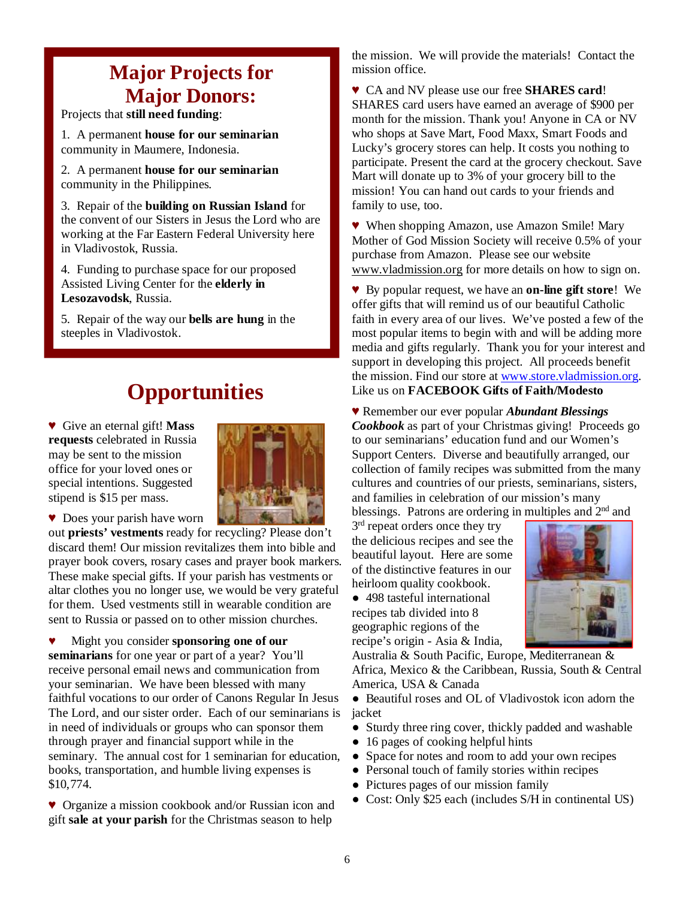## **Major Projects for Major Donors:**

Projects that **still need funding**:

1. A permanent **house for our seminarian** community in Maumere, Indonesia.

2. A permanent **house for our seminarian** community in the Philippines.

3. Repair of the **building on Russian Island** for the convent of our Sisters in Jesus the Lord who are working at the Far Eastern Federal University here in Vladivostok, Russia.

4. Funding to purchase space for our proposed Assisted Living Center for the **elderly in Lesozavodsk**, Russia.

**5.** Repair of the way our **bells** are hung in the steeples in Vladivostok.

# **Opportunities**

♥ Give an eternal gift! **Mass requests** celebrated in Russia may be sent to the mission office for your loved ones or special intentions. Suggested stipend is \$15 per mass.



♥ Does your parish have worn

out **priests' vestments** ready for recycling? Please don't discard them! Our mission revitalizes them into bible and prayer book covers, rosary cases and prayer book markers. These make special gifts. If your parish has vestments or altar clothes you no longer use, we would be very grateful for them. Used vestments still in wearable condition are sent to Russia or passed on to other mission churches.

♥ Might you consider **sponsoring one of our seminarians** for one year or part of a year? You'll receive personal email news and communication from your seminarian. We have been blessed with many faithful vocations to our order of Canons Regular In Jesus The Lord, and our sister order. Each of our seminarians is in need of individuals or groups who can sponsor them through prayer and financial support while in the seminary. The annual cost for 1 seminarian for education, books, transportation, and humble living expenses is \$10,774.

♥ Organize a mission cookbook and/or Russian icon and gift **sale at your parish** for the Christmas season to help

the mission. We will provide the materials! Contact the mission office.

♥ CA and NV please use our free **SHARES card**! SHARES card users have earned an average of \$900 per month for the mission. Thank you! Anyone in CA or NV who shops at Save Mart, Food Maxx, Smart Foods and Lucky's grocery stores can help. It costs you nothing to participate. Present the card at the grocery checkout. Save Mart will donate up to 3% of your grocery bill to the mission! You can hand out cards to your friends and family to use, too.

♥ When shopping Amazon, use Amazon Smile! Mary Mother of God Mission Society will receive 0.5% of your purchase from Amazon. Please see our website [www.vladmission.org](http://www.vladmission.org) for more details on how to sign on.

♥ By popular request, we have an **on-line gift store**! We offer gifts that will remind us of our beautiful Catholic faith in every area of our lives. We've posted a few of the most popular items to begin with and will be adding more media and gifts regularly. Thank you for your interest and support in developing this project. All proceeds benefit the mission. Find our store at [www.store.vladmission.org.](http://www.store.vladmission.org) Like us on **FACEBOOK Gifts of Faith/Modesto** 

♥ Remember our ever popular *Abundant Blessings Cookbook* as part of your Christmas giving! Proceeds go to our seminarians' education fund and our Women's Support Centers. Diverse and beautifully arranged, our collection of family recipes was submitted from the many cultures and countries of our priests, seminarians, sisters, and families in celebration of our mission's many blessings. Patrons are ordering in multiples and 2<sup>nd</sup> and

3<sup>rd</sup> repeat orders once they try the delicious recipes and see the beautiful layout. Here are some of the distinctive features in our heirloom quality cookbook.

**●** 498 tasteful international recipes tab divided into 8 geographic regions of the recipe's origin - Asia & India,



Australia & South Pacific, Europe, Mediterranean & Africa, Mexico & the Caribbean, Russia, South & Central America, USA & Canada

**●** Beautiful roses and OL of Vladivostok icon adorn the jacket

- **●** Sturdy three ring cover, thickly padded and washable
- **●** 16 pages of cooking helpful hints
- **●** Space for notes and room to add your own recipes
- **●** Personal touch of family stories within recipes
- **●** Pictures pages of our mission family
- **●** Cost: Only \$25 each (includes S/H in continental US)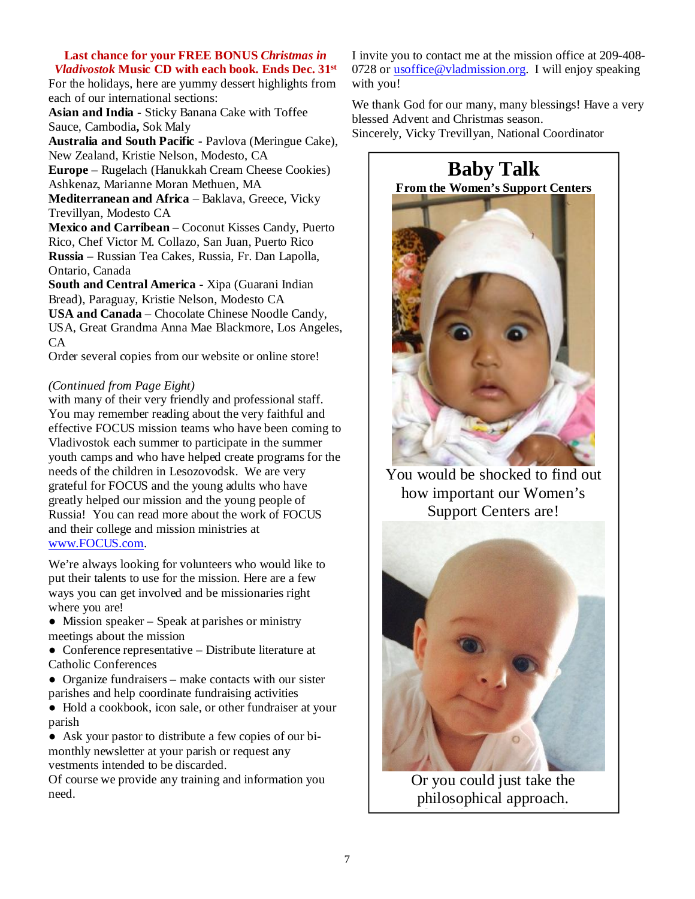#### **Last chance for your FREE BONUS** *Christmas in Vladivostok* **Music CD with each book. Ends Dec. 31st**

For the holidays, here are yummy dessert highlights from each of our international sections:

**Asian and India** - Sticky Banana Cake with Toffee Sauce, Cambodia**,** Sok Maly

**Australia and South Pacific** - Pavlova (Meringue Cake), New Zealand, Kristie Nelson, Modesto, CA

**Europe** – Rugelach (Hanukkah Cream Cheese Cookies) Ashkenaz, Marianne Moran Methuen, MA

**Mediterranean and Africa** – Baklava, Greece, Vicky Trevillyan, Modesto CA

**Mexico and Carribean** – Coconut Kisses Candy, Puerto Rico, Chef Victor M. Collazo, San Juan, Puerto Rico **Russia** – Russian Tea Cakes, Russia, Fr. Dan Lapolla, Ontario, Canada

**South and Central America -** Xipa (Guarani Indian Bread), Paraguay, Kristie Nelson, Modesto CA **USA and Canada** – Chocolate Chinese Noodle Candy, USA, Great Grandma Anna Mae Blackmore, Los Angeles, CA

Order several copies from our website or online store!

### *(Continued from Page Eight)*

with many of their very friendly and professional staff. You may remember reading about the very faithful and effective FOCUS mission teams who have been coming to Vladivostok each summer to participate in the summer youth camps and who have helped create programs for the needs of the children in Lesozovodsk. We are very grateful for FOCUS and the young adults who have greatly helped our mission and the young people of Russia! You can read more about the work of FOCUS and their college and mission ministries at [www.FOCUS.com.](http://www.FOCUS.com)

We're always looking for volunteers who would like to put their talents to use for the mission. Here are a few ways you can get involved and be missionaries right where you are!

**●** Mission speaker – Speak at parishes or ministry meetings about the mission

**●** Conference representative – Distribute literature at Catholic Conferences

**●** Organize fundraisers – make contacts with our sister parishes and help coordinate fundraising activities

**●** Hold a cookbook, icon sale, or other fundraiser at your parish

**●** Ask your pastor to distribute a few copies of our bimonthly newsletter at your parish or request any vestments intended to be discarded.

Of course we provide any training and information you need.

I invite you to contact me at the mission office at 209-408- 0728 or [usoffice@vladmission.org](mailto:usoffice@vladmission.org). I will enjoy speaking with you!

We thank God for our many, many blessings! Have a very blessed Advent and Christmas season. Sincerely, Vicky Trevillyan, National Coordinator



You would be shocked to find out how important our Women's Support Centers are!



Or you could just take the philosophical approach. [Umida born May 18 2015 and